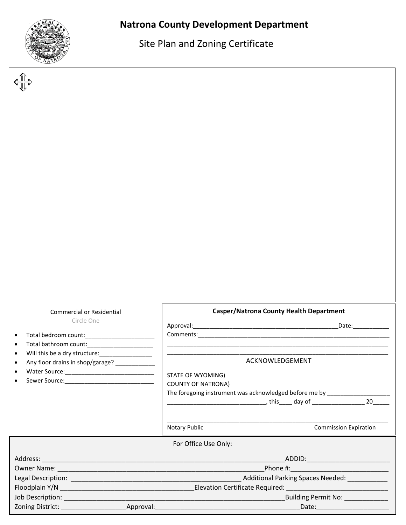

Site Plan and Zoning Certificate

| <b>Commercial or Residential</b>                                                   | <b>Casper/Natrona County Health Department</b> |                                                                                                                                                                                                                                     |
|------------------------------------------------------------------------------------|------------------------------------------------|-------------------------------------------------------------------------------------------------------------------------------------------------------------------------------------------------------------------------------------|
| Circle One                                                                         |                                                | Date:___________                                                                                                                                                                                                                    |
|                                                                                    |                                                | Comments: <u>comments: and comments:</u> comments: comments: comments: comments: comments: comments: comments: comments: comments: comments: comments: comments: comments: comments: comments: comments: comments: comments: commen |
|                                                                                    |                                                | <u> 1980 - Johann Barn, mars an t-Amerikaansk komponister (* 1908)</u>                                                                                                                                                              |
| Will this be a dry structure:_________________<br>Any floor drains in shop/garage? | ACKNOWLEDGEMENT                                |                                                                                                                                                                                                                                     |
|                                                                                    |                                                |                                                                                                                                                                                                                                     |
|                                                                                    | STATE OF WYOMING)                              |                                                                                                                                                                                                                                     |
|                                                                                    | <b>COUNTY OF NATRONA)</b>                      | The foregoing instrument was acknowledged before me by _________________________                                                                                                                                                    |
|                                                                                    |                                                |                                                                                                                                                                                                                                     |
|                                                                                    |                                                |                                                                                                                                                                                                                                     |
|                                                                                    | Notary Public                                  | <b>Commission Expiration</b>                                                                                                                                                                                                        |
|                                                                                    | For Office Use Only:                           |                                                                                                                                                                                                                                     |
|                                                                                    |                                                |                                                                                                                                                                                                                                     |
|                                                                                    |                                                |                                                                                                                                                                                                                                     |
|                                                                                    |                                                |                                                                                                                                                                                                                                     |
|                                                                                    |                                                | Phone #: <b>Example 2018</b>                                                                                                                                                                                                        |
|                                                                                    |                                                |                                                                                                                                                                                                                                     |
|                                                                                    |                                                | Building Permit No: __________                                                                                                                                                                                                      |